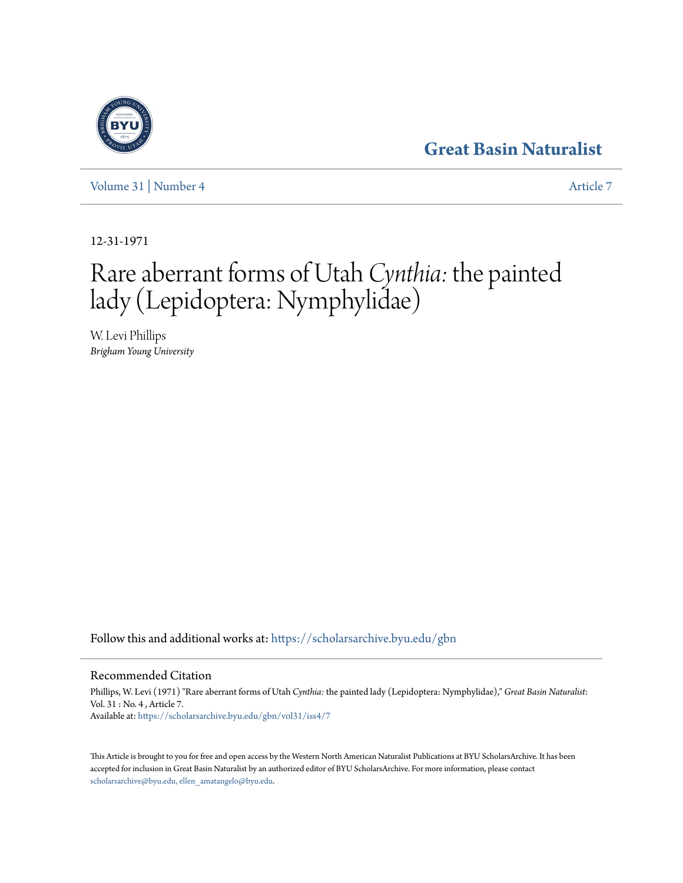## **[Great Basin Naturalist](https://scholarsarchive.byu.edu/gbn?utm_source=scholarsarchive.byu.edu%2Fgbn%2Fvol31%2Fiss4%2F7&utm_medium=PDF&utm_campaign=PDFCoverPages)**

[Volume 31](https://scholarsarchive.byu.edu/gbn/vol31?utm_source=scholarsarchive.byu.edu%2Fgbn%2Fvol31%2Fiss4%2F7&utm_medium=PDF&utm_campaign=PDFCoverPages) | [Number 4](https://scholarsarchive.byu.edu/gbn/vol31/iss4?utm_source=scholarsarchive.byu.edu%2Fgbn%2Fvol31%2Fiss4%2F7&utm_medium=PDF&utm_campaign=PDFCoverPages) [Article 7](https://scholarsarchive.byu.edu/gbn/vol31/iss4/7?utm_source=scholarsarchive.byu.edu%2Fgbn%2Fvol31%2Fiss4%2F7&utm_medium=PDF&utm_campaign=PDFCoverPages)

12-31-1971

# Rare aberrant forms of Utah *Cynthia:* the painted lady (Lepidoptera: Nymphylidae)

W. Levi Phillips *Brigham Young University*

Follow this and additional works at: [https://scholarsarchive.byu.edu/gbn](https://scholarsarchive.byu.edu/gbn?utm_source=scholarsarchive.byu.edu%2Fgbn%2Fvol31%2Fiss4%2F7&utm_medium=PDF&utm_campaign=PDFCoverPages)

### Recommended Citation

Phillips, W. Levi (1971) "Rare aberrant forms of Utah *Cynthia:* the painted lady (Lepidoptera: Nymphylidae)," *Great Basin Naturalist*: Vol. 31 : No. 4 , Article 7. Available at: [https://scholarsarchive.byu.edu/gbn/vol31/iss4/7](https://scholarsarchive.byu.edu/gbn/vol31/iss4/7?utm_source=scholarsarchive.byu.edu%2Fgbn%2Fvol31%2Fiss4%2F7&utm_medium=PDF&utm_campaign=PDFCoverPages)

This Article is brought to you for free and open access by the Western North American Naturalist Publications at BYU ScholarsArchive. It has been accepted for inclusion in Great Basin Naturalist by an authorized editor of BYU ScholarsArchive. For more information, please contact [scholarsarchive@byu.edu, ellen\\_amatangelo@byu.edu.](mailto:scholarsarchive@byu.edu,%20ellen_amatangelo@byu.edu)

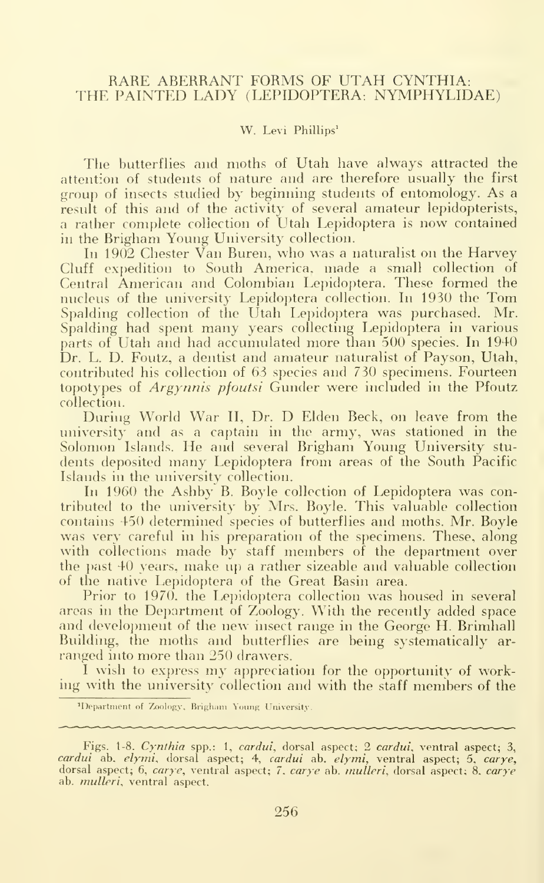#### RARE ABERRANT FORMS OF UTAH CYNTHIA: THE PAINTED LADY (LEPIDOPTERA. NYMPHYLIDAE)

#### W. Levi Phillips<sup>1</sup>

The butterflies and moths of Utah have always attracted the attention of students of nature and are therefore usually the first group of insects studied by beginning students of entomology. As <sup>a</sup> result of this and of the activity of several amateur lepidopterists, <sup>a</sup> rather complete collection of Utah Lepidoptera is now contained in the Brigham Young University collection.

In 1902 Chester Van Buren, who was <sup>a</sup> naturalist on the Harvey Cluff expedition to South America, made a small collection of Central American and Colombian Lepidoptera. These formed the nucleus of the university Lepidoptera collection. In 1930 the Tom Spalding collection of the Utah Lepidoptera was purchased. Mr. Spalding had spent many years collecting Lepidoptera in various parts of Utah and had accumulated more than 500 species. In 1940 Dr. L. D. Foutz, a dentist and amateur naturalist of Payson, Utah, contributed his collection of 63 species and 730 specimens. Fourteen topotypes of *Argynnis pfoutsi* Gunder were included in the Pfoutz collection.

During World War II, Dr. D Elden Beck, on leave from the university and as a captain in the army, was stationed in the Solomon Islands. He and several Brigham Young University students deposited many Lepidoptera from areas of the South Pacific Islands in the university collection.

In 1960 the Ashby B. Boyle collection of Lepidoptera was contributed to the university by Mrs. Boyle. This valuable collection contains 450 determined species of butterflies and moths. Mr. Boyle was very careful in his preparation of the specimens. These, along with collections made by staff members of the department over the past 40 years, make up <sup>a</sup> rather sizeable and valuable collection of the native Lepidoptera of the Great Basin area.

Prior to 1970, the Lepidoptera collection was housed in several areas in the Department of Zoology. With the recently added space and development of the new insect range in the George H. Brimhall Building, the moths and butterflies are being systematically ar ranged into more than 250 drawers.

<sup>I</sup> wish to express my appreciation for the opportunity of working with the university collection and with the staff members of the

<sup>&#</sup>x27;Department of Zoology, Brigham Young University.

Figs. 1-8. Cynthia spp.: 1, cardui, dorsal aspect; 2 cardui, ventral aspect; 3, c*ardui* ab. *elymi*, dorsal aspect; 4, *cardui* ab. *elymi*, ventral aspect; 5, *carye*, dorsal aspect; 6, *carye*, ventral aspect; 7, *carye* ab. *mulleri*, dorsal aspect; 8, *carye* .... ab. *mulleri*, ventral aspect.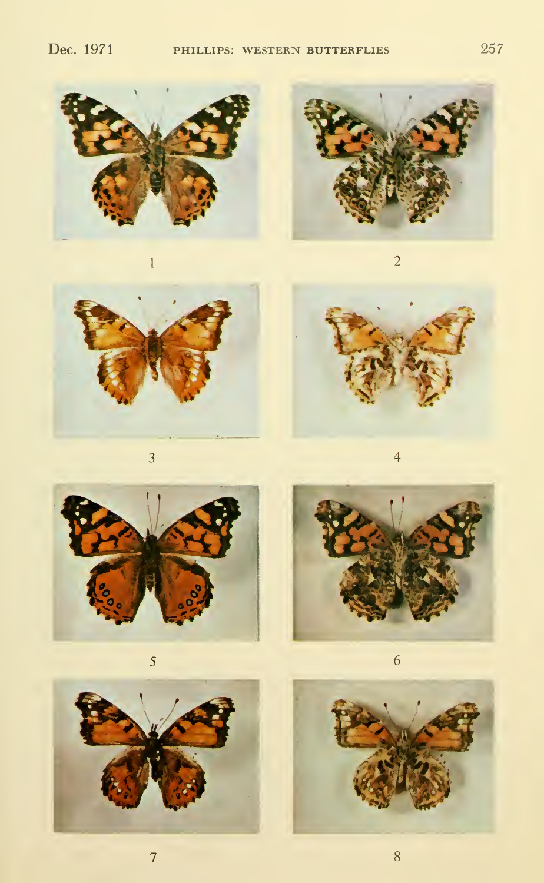

 $\overline{1}$ 



 $\overline{c}$ 

 $\overline{3}$ 



 $\overline{4}$ 



 $\overline{5}$ 





 $\overline{6}$ 

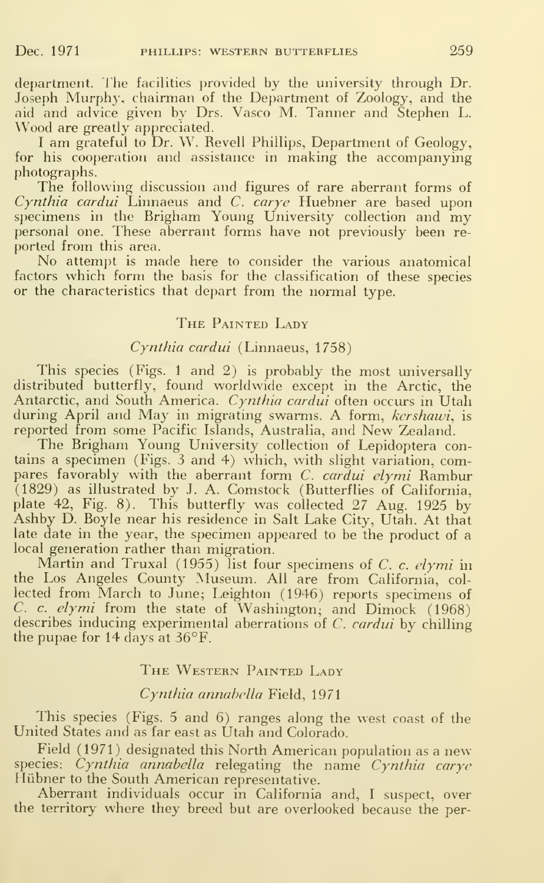department. The facilities provided by the university through Dr. Joseph Murphy, chairman of the Department of Zoology, and the aid and advice given by Drs. Vasco M. Tanner and Stephen L. Wood are greatly appreciated.

I am grateful to Dr. W. Revell Phillips, Department of Geology, for his cooperation and assistance in making the accompanying photographs.

The following discussion and figures of rare aberrant forms of Cynthia cardui Linnaeus and C. carye Huebner are based upon  $s$ pecimens in the Brigham Young University collection and  ${\rm \dot{m}}$ personal one. These aberrant forms have not previously been re ported from this area.<br>No attempt is made here to consider the various anatomical

factors which form the basis for the classification of these species or the characteristics that depart from the normal type.

#### THE PAINTED LADY

#### Cynthia cardui (Linnaeus, 1758)

This species (Figs. <sup>1</sup> and 2) is probably the most universally distributed butterfly, found worldwide except in the Arctic, the Antarctic, and South America. Cynthia cardui often occurs in Utah during April and May in migrating swarms. A form, kershawi, is reported from some Pacific Islands, Australia, and New Zealand.

The Brigham Young University collection of Lepidoptera contains a specimen (Figs. <sup>3</sup> and 4) which, with slight variation, compares favorably with the aberrant form *C. cardui elymi* Rambur (1829) as illustrated by J. A. Comstock (Butterflies of California, plate 42, Fig. 8). This butterfly was collected 27 Aug. 1925 by Ashby D. Boyle near his residence in Salt Lake City, Utah. At that late date in the year, the specimen appeared to be the product of a local generation rather than migration.

Martin and Truxal (1955) list four specimens of  $C$ . c. elymi in the Los Angeles County Museum. All are from California, col lected from March to June; Leighton (1946) reports specimens of C. c. elymi from the state of Washington; and Dimock (1968) describes inducing experimental aberrations of C. cardui by chilling the pupae for 14 days at 36°F.

#### THE WESTERN PAINTED LADY

#### Cynthia annabella Field, 1971

This species (Figs. 5 and 6) ranges along the west coast of the United States and as far east as Utah and Colorado.

Field (1971) designated this North American population as a new species: Cynthia annabella relegating the name Cynthia carye Hiibner to the South American representative.

Aberrant individuals occur in California and, <sup>I</sup> suspect, over the territory where they breed but are overlooked because the per-